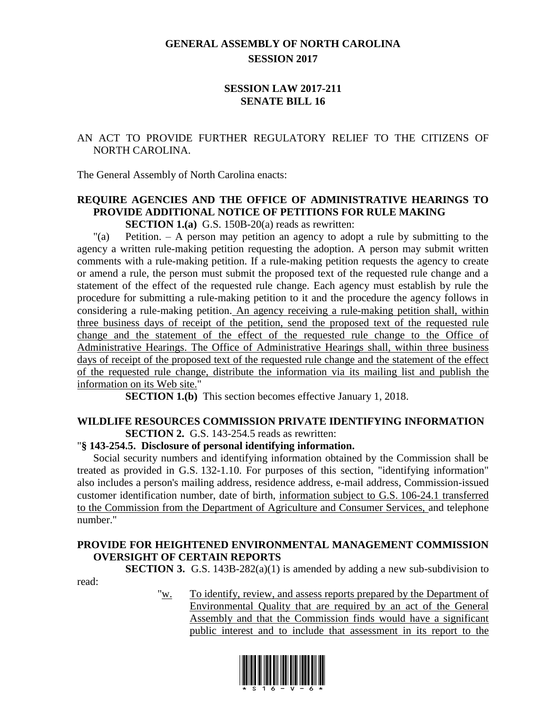## **GENERAL ASSEMBLY OF NORTH CAROLINA SESSION 2017**

### **SESSION LAW 2017-211 SENATE BILL 16**

## AN ACT TO PROVIDE FURTHER REGULATORY RELIEF TO THE CITIZENS OF NORTH CAROLINA.

The General Assembly of North Carolina enacts:

# **REQUIRE AGENCIES AND THE OFFICE OF ADMINISTRATIVE HEARINGS TO PROVIDE ADDITIONAL NOTICE OF PETITIONS FOR RULE MAKING**

**SECTION 1.(a)** G.S. 150B-20(a) reads as rewritten:

"(a) Petition. – A person may petition an agency to adopt a rule by submitting to the agency a written rule-making petition requesting the adoption. A person may submit written comments with a rule-making petition. If a rule-making petition requests the agency to create or amend a rule, the person must submit the proposed text of the requested rule change and a statement of the effect of the requested rule change. Each agency must establish by rule the procedure for submitting a rule-making petition to it and the procedure the agency follows in considering a rule-making petition. An agency receiving a rule-making petition shall, within three business days of receipt of the petition, send the proposed text of the requested rule change and the statement of the effect of the requested rule change to the Office of Administrative Hearings. The Office of Administrative Hearings shall, within three business days of receipt of the proposed text of the requested rule change and the statement of the effect of the requested rule change, distribute the information via its mailing list and publish the information on its Web site."

**SECTION 1.(b)** This section becomes effective January 1, 2018.

#### **WILDLIFE RESOURCES COMMISSION PRIVATE IDENTIFYING INFORMATION SECTION 2.** G.S. 143-254.5 reads as rewritten:

#### "**§ 143-254.5. Disclosure of personal identifying information.**

read:

Social security numbers and identifying information obtained by the Commission shall be treated as provided in G.S. 132-1.10. For purposes of this section, "identifying information" also includes a person's mailing address, residence address, e-mail address, Commission-issued customer identification number, date of birth, information subject to G.S. 106-24.1 transferred to the Commission from the Department of Agriculture and Consumer Services, and telephone number."

### **PROVIDE FOR HEIGHTENED ENVIRONMENTAL MANAGEMENT COMMISSION OVERSIGHT OF CERTAIN REPORTS**

**SECTION 3.** G.S. 143B-282(a)(1) is amended by adding a new sub-subdivision to

"w. To identify, review, and assess reports prepared by the Department of Environmental Quality that are required by an act of the General Assembly and that the Commission finds would have a significant public interest and to include that assessment in its report to the

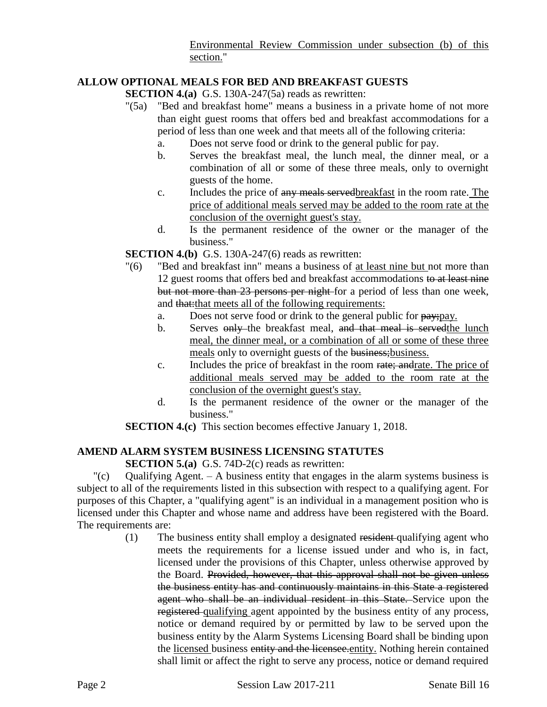Environmental Review Commission under subsection (b) of this section."

## **ALLOW OPTIONAL MEALS FOR BED AND BREAKFAST GUESTS**

**SECTION 4.(a)** G.S. 130A-247(5a) reads as rewritten:

- "(5a) "Bed and breakfast home" means a business in a private home of not more than eight guest rooms that offers bed and breakfast accommodations for a period of less than one week and that meets all of the following criteria:
	- a. Does not serve food or drink to the general public for pay.
	- b. Serves the breakfast meal, the lunch meal, the dinner meal, or a combination of all or some of these three meals, only to overnight guests of the home.
	- c. Includes the price of any meals servedbreakfast in the room rate. The price of additional meals served may be added to the room rate at the conclusion of the overnight guest's stay.
	- d. Is the permanent residence of the owner or the manager of the business."

**SECTION 4.(b)** G.S. 130A-247(6) reads as rewritten:

- "(6) "Bed and breakfast inn" means a business of at least nine but not more than 12 guest rooms that offers bed and breakfast accommodations to at least nine but not more than 23 persons per night for a period of less than one week, and that: that meets all of the following requirements:
	- a. Does not serve food or drink to the general public for pay; pay.
	- b. Serves only the breakfast meal, and that meal is served the lunch meal, the dinner meal, or a combination of all or some of these three meals only to overnight guests of the business; business.
	- c. Includes the price of breakfast in the room rate; andrate. The price of additional meals served may be added to the room rate at the conclusion of the overnight guest's stay.
	- d. Is the permanent residence of the owner or the manager of the business."

**SECTION 4.(c)** This section becomes effective January 1, 2018.

# **AMEND ALARM SYSTEM BUSINESS LICENSING STATUTES**

**SECTION 5.(a)** G.S. 74D-2(c) reads as rewritten:

 $\degree$  (c) Qualifying Agent. – A business entity that engages in the alarm systems business is subject to all of the requirements listed in this subsection with respect to a qualifying agent. For purposes of this Chapter, a "qualifying agent" is an individual in a management position who is licensed under this Chapter and whose name and address have been registered with the Board. The requirements are:

(1) The business entity shall employ a designated resident qualifying agent who meets the requirements for a license issued under and who is, in fact, licensed under the provisions of this Chapter, unless otherwise approved by the Board. Provided, however, that this approval shall not be given unless the business entity has and continuously maintains in this State a registered agent who shall be an individual resident in this State. Service upon the registered qualifying agent appointed by the business entity of any process, notice or demand required by or permitted by law to be served upon the business entity by the Alarm Systems Licensing Board shall be binding upon the licensed business entity and the licensee.entity. Nothing herein contained shall limit or affect the right to serve any process, notice or demand required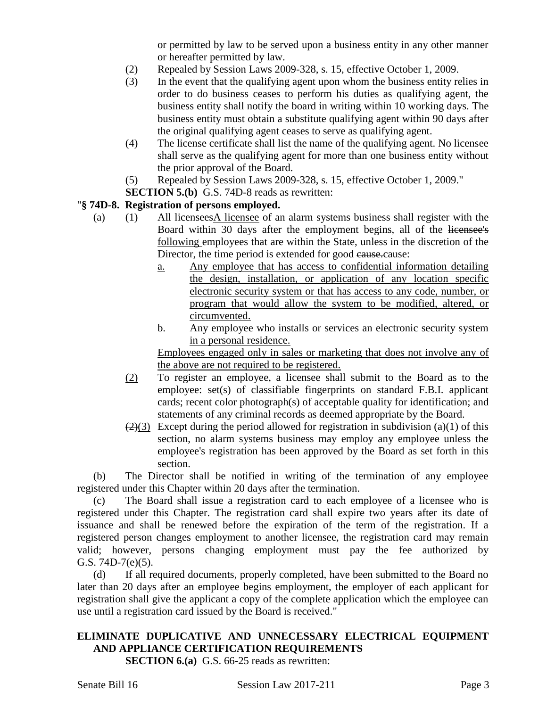or permitted by law to be served upon a business entity in any other manner or hereafter permitted by law.

- (2) Repealed by Session Laws 2009-328, s. 15, effective October 1, 2009.
- (3) In the event that the qualifying agent upon whom the business entity relies in order to do business ceases to perform his duties as qualifying agent, the business entity shall notify the board in writing within 10 working days. The business entity must obtain a substitute qualifying agent within 90 days after the original qualifying agent ceases to serve as qualifying agent.
- (4) The license certificate shall list the name of the qualifying agent. No licensee shall serve as the qualifying agent for more than one business entity without the prior approval of the Board.
- (5) Repealed by Session Laws 2009-328, s. 15, effective October 1, 2009."
- **SECTION 5.(b)** G.S. 74D-8 reads as rewritten:

### "**§ 74D-8. Registration of persons employed.**

- (a) (1) All licenseesA licensee of an alarm systems business shall register with the Board within 30 days after the employment begins, all of the licensee's following employees that are within the State, unless in the discretion of the Director, the time period is extended for good cause.cause:
	- a. Any employee that has access to confidential information detailing the design, installation, or application of any location specific electronic security system or that has access to any code, number, or program that would allow the system to be modified, altered, or circumvented.
	- b. Any employee who installs or services an electronic security system in a personal residence.

Employees engaged only in sales or marketing that does not involve any of the above are not required to be registered.

- (2) To register an employee, a licensee shall submit to the Board as to the employee: set(s) of classifiable fingerprints on standard F.B.I. applicant cards; recent color photograph(s) of acceptable quality for identification; and statements of any criminal records as deemed appropriate by the Board.
- $(2)(3)$  Except during the period allowed for registration in subdivision (a)(1) of this section, no alarm systems business may employ any employee unless the employee's registration has been approved by the Board as set forth in this section.

(b) The Director shall be notified in writing of the termination of any employee registered under this Chapter within 20 days after the termination.

(c) The Board shall issue a registration card to each employee of a licensee who is registered under this Chapter. The registration card shall expire two years after its date of issuance and shall be renewed before the expiration of the term of the registration. If a registered person changes employment to another licensee, the registration card may remain valid; however, persons changing employment must pay the fee authorized by G.S. 74D-7(e)(5).

(d) If all required documents, properly completed, have been submitted to the Board no later than 20 days after an employee begins employment, the employer of each applicant for registration shall give the applicant a copy of the complete application which the employee can use until a registration card issued by the Board is received."

# **ELIMINATE DUPLICATIVE AND UNNECESSARY ELECTRICAL EQUIPMENT AND APPLIANCE CERTIFICATION REQUIREMENTS**

**SECTION 6.(a)** G.S. 66-25 reads as rewritten: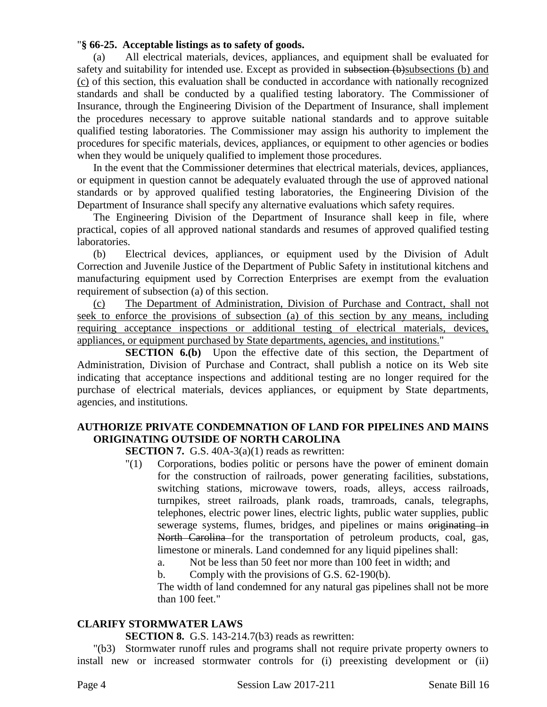### "**§ 66-25. Acceptable listings as to safety of goods.**

(a) All electrical materials, devices, appliances, and equipment shall be evaluated for safety and suitability for intended use. Except as provided in subsection (b)subsections (b) and (c) of this section, this evaluation shall be conducted in accordance with nationally recognized standards and shall be conducted by a qualified testing laboratory. The Commissioner of Insurance, through the Engineering Division of the Department of Insurance, shall implement the procedures necessary to approve suitable national standards and to approve suitable qualified testing laboratories. The Commissioner may assign his authority to implement the procedures for specific materials, devices, appliances, or equipment to other agencies or bodies when they would be uniquely qualified to implement those procedures.

In the event that the Commissioner determines that electrical materials, devices, appliances, or equipment in question cannot be adequately evaluated through the use of approved national standards or by approved qualified testing laboratories, the Engineering Division of the Department of Insurance shall specify any alternative evaluations which safety requires.

The Engineering Division of the Department of Insurance shall keep in file, where practical, copies of all approved national standards and resumes of approved qualified testing laboratories.

(b) Electrical devices, appliances, or equipment used by the Division of Adult Correction and Juvenile Justice of the Department of Public Safety in institutional kitchens and manufacturing equipment used by Correction Enterprises are exempt from the evaluation requirement of subsection (a) of this section.

(c) The Department of Administration, Division of Purchase and Contract, shall not seek to enforce the provisions of subsection (a) of this section by any means, including requiring acceptance inspections or additional testing of electrical materials, devices, appliances, or equipment purchased by State departments, agencies, and institutions."

**SECTION 6.(b)** Upon the effective date of this section, the Department of Administration, Division of Purchase and Contract, shall publish a notice on its Web site indicating that acceptance inspections and additional testing are no longer required for the purchase of electrical materials, devices appliances, or equipment by State departments, agencies, and institutions.

## **AUTHORIZE PRIVATE CONDEMNATION OF LAND FOR PIPELINES AND MAINS ORIGINATING OUTSIDE OF NORTH CAROLINA**

**SECTION 7.** G.S. 40A-3(a)(1) reads as rewritten:

- "(1) Corporations, bodies politic or persons have the power of eminent domain for the construction of railroads, power generating facilities, substations, switching stations, microwave towers, roads, alleys, access railroads, turnpikes, street railroads, plank roads, tramroads, canals, telegraphs, telephones, electric power lines, electric lights, public water supplies, public sewerage systems, flumes, bridges, and pipelines or mains originating in North Carolina for the transportation of petroleum products, coal, gas, limestone or minerals. Land condemned for any liquid pipelines shall:
	- a. Not be less than 50 feet nor more than 100 feet in width; and

b. Comply with the provisions of G.S. 62-190(b).

The width of land condemned for any natural gas pipelines shall not be more than 100 feet."

## **CLARIFY STORMWATER LAWS**

**SECTION 8.** G.S. 143-214.7(b3) reads as rewritten:

"(b3) Stormwater runoff rules and programs shall not require private property owners to install new or increased stormwater controls for (i) preexisting development or (ii)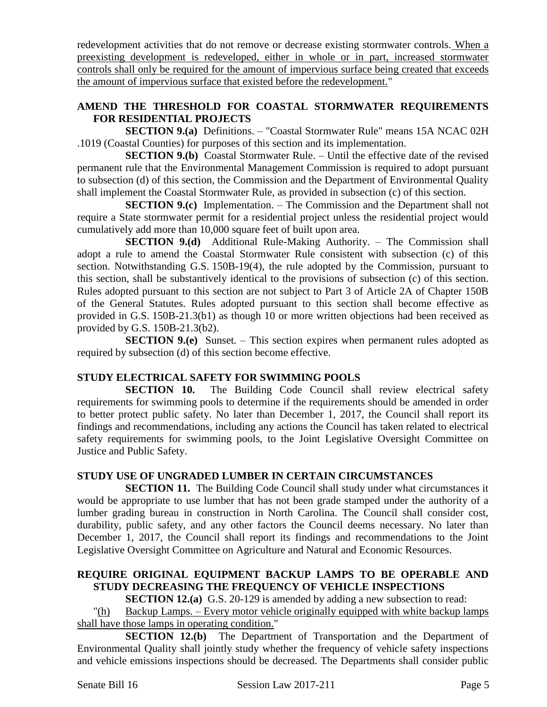redevelopment activities that do not remove or decrease existing stormwater controls. When a preexisting development is redeveloped, either in whole or in part, increased stormwater controls shall only be required for the amount of impervious surface being created that exceeds the amount of impervious surface that existed before the redevelopment."

## **AMEND THE THRESHOLD FOR COASTAL STORMWATER REQUIREMENTS FOR RESIDENTIAL PROJECTS**

**SECTION 9.(a)** Definitions. – "Coastal Stormwater Rule" means 15A NCAC 02H .1019 (Coastal Counties) for purposes of this section and its implementation.

**SECTION 9.(b)** Coastal Stormwater Rule. – Until the effective date of the revised permanent rule that the Environmental Management Commission is required to adopt pursuant to subsection (d) of this section, the Commission and the Department of Environmental Quality shall implement the Coastal Stormwater Rule, as provided in subsection (c) of this section.

**SECTION 9.(c)** Implementation. – The Commission and the Department shall not require a State stormwater permit for a residential project unless the residential project would cumulatively add more than 10,000 square feet of built upon area.

**SECTION 9.(d)** Additional Rule-Making Authority. – The Commission shall adopt a rule to amend the Coastal Stormwater Rule consistent with subsection (c) of this section. Notwithstanding G.S. 150B-19(4), the rule adopted by the Commission, pursuant to this section, shall be substantively identical to the provisions of subsection (c) of this section. Rules adopted pursuant to this section are not subject to Part 3 of Article 2A of Chapter 150B of the General Statutes. Rules adopted pursuant to this section shall become effective as provided in G.S. 150B-21.3(b1) as though 10 or more written objections had been received as provided by G.S. 150B-21.3(b2).

**SECTION 9.(e)** Sunset. – This section expires when permanent rules adopted as required by subsection (d) of this section become effective.

## **STUDY ELECTRICAL SAFETY FOR SWIMMING POOLS**

**SECTION 10.** The Building Code Council shall review electrical safety requirements for swimming pools to determine if the requirements should be amended in order to better protect public safety. No later than December 1, 2017, the Council shall report its findings and recommendations, including any actions the Council has taken related to electrical safety requirements for swimming pools, to the Joint Legislative Oversight Committee on Justice and Public Safety.

#### **STUDY USE OF UNGRADED LUMBER IN CERTAIN CIRCUMSTANCES**

**SECTION 11.** The Building Code Council shall study under what circumstances it would be appropriate to use lumber that has not been grade stamped under the authority of a lumber grading bureau in construction in North Carolina. The Council shall consider cost, durability, public safety, and any other factors the Council deems necessary. No later than December 1, 2017, the Council shall report its findings and recommendations to the Joint Legislative Oversight Committee on Agriculture and Natural and Economic Resources.

## **REQUIRE ORIGINAL EQUIPMENT BACKUP LAMPS TO BE OPERABLE AND STUDY DECREASING THE FREQUENCY OF VEHICLE INSPECTIONS**

**SECTION 12.(a)** G.S. 20-129 is amended by adding a new subsection to read:

"(h) Backup Lamps. – Every motor vehicle originally equipped with white backup lamps shall have those lamps in operating condition."

**SECTION 12.(b)** The Department of Transportation and the Department of Environmental Quality shall jointly study whether the frequency of vehicle safety inspections and vehicle emissions inspections should be decreased. The Departments shall consider public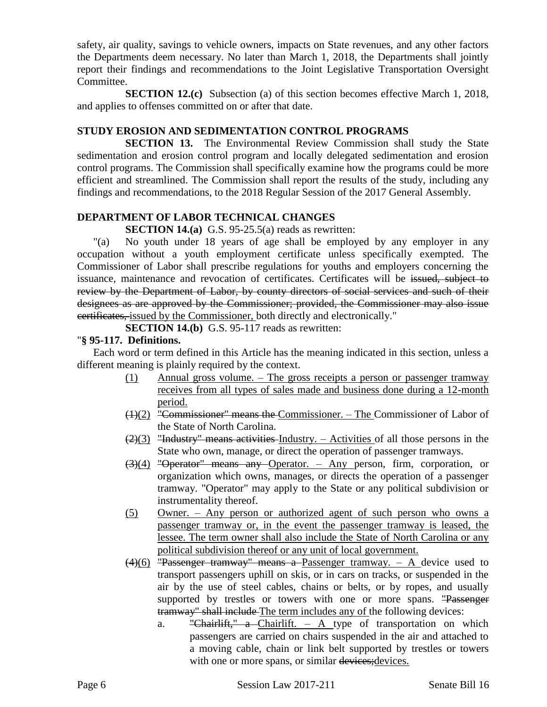safety, air quality, savings to vehicle owners, impacts on State revenues, and any other factors the Departments deem necessary. No later than March 1, 2018, the Departments shall jointly report their findings and recommendations to the Joint Legislative Transportation Oversight Committee.

**SECTION 12.(c)** Subsection (a) of this section becomes effective March 1, 2018, and applies to offenses committed on or after that date.

## **STUDY EROSION AND SEDIMENTATION CONTROL PROGRAMS**

**SECTION 13.** The Environmental Review Commission shall study the State sedimentation and erosion control program and locally delegated sedimentation and erosion control programs. The Commission shall specifically examine how the programs could be more efficient and streamlined. The Commission shall report the results of the study, including any findings and recommendations, to the 2018 Regular Session of the 2017 General Assembly.

### **DEPARTMENT OF LABOR TECHNICAL CHANGES**

**SECTION 14.(a)** G.S. 95-25.5(a) reads as rewritten:

"(a) No youth under 18 years of age shall be employed by any employer in any occupation without a youth employment certificate unless specifically exempted. The Commissioner of Labor shall prescribe regulations for youths and employers concerning the issuance, maintenance and revocation of certificates. Certificates will be issued, subject to review by the Department of Labor, by county directors of social services and such of their designees as are approved by the Commissioner; provided, the Commissioner may also issue certificates, issued by the Commissioner, both directly and electronically."

**SECTION 14.(b)** G.S. 95-117 reads as rewritten:

### "**§ 95-117. Definitions.**

Each word or term defined in this Article has the meaning indicated in this section, unless a different meaning is plainly required by the context.

- (1) Annual gross volume. The gross receipts a person or passenger tramway receives from all types of sales made and business done during a 12-month period.
- (1)(2) "Commissioner" means the Commissioner. The Commissioner of Labor of the State of North Carolina.
- $(2)(3)$  "Industry" means activities Industry. Activities of all those persons in the State who own, manage, or direct the operation of passenger tramways.
- (3)(4) "Operator" means any Operator. Any person, firm, corporation, or organization which owns, manages, or directs the operation of a passenger tramway. "Operator" may apply to the State or any political subdivision or instrumentality thereof.
- (5) Owner. Any person or authorized agent of such person who owns a passenger tramway or, in the event the passenger tramway is leased, the lessee. The term owner shall also include the State of North Carolina or any political subdivision thereof or any unit of local government.
- $(4)(6)$  "Passenger tramway" means a Passenger tramway. A device used to transport passengers uphill on skis, or in cars on tracks, or suspended in the air by the use of steel cables, chains or belts, or by ropes, and usually supported by trestles or towers with one or more spans. "Passenger tramway" shall include The term includes any of the following devices:
	- a. "Chairlift," a Chairlift. A type of transportation on which passengers are carried on chairs suspended in the air and attached to a moving cable, chain or link belt supported by trestles or towers with one or more spans, or similar devices; devices.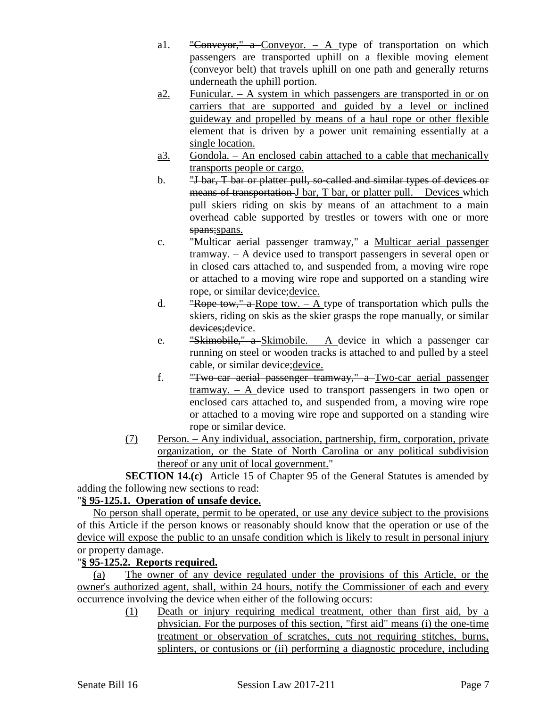- a1. "Conveyor," a Conveyor.  $-$  A type of transportation on which passengers are transported uphill on a flexible moving element (conveyor belt) that travels uphill on one path and generally returns underneath the uphill portion.
- a2. Funicular.  $A$  system in which passengers are transported in or on carriers that are supported and guided by a level or inclined guideway and propelled by means of a haul rope or other flexible element that is driven by a power unit remaining essentially at a single location.
- a3. Gondola. An enclosed cabin attached to a cable that mechanically transports people or cargo.
- b. "*J* bar, *T* bar or platter pull, so-called and similar types of devices or means of transportation J bar, T bar, or platter pull. – Devices which pull skiers riding on skis by means of an attachment to a main overhead cable supported by trestles or towers with one or more spans; spans.
- c. "Multicar aerial passenger tramway," a Multicar aerial passenger  $t$ ramway.  $- A$  device used to transport passengers in several open or in closed cars attached to, and suspended from, a moving wire rope or attached to a moving wire rope and supported on a standing wire rope, or similar device; device.
- d. "Rope tow," a Rope tow.  $-$  A type of transportation which pulls the skiers, riding on skis as the skier grasps the rope manually, or similar devices; device.
- e. "Skimobile," a Skimobile.  $-$  A device in which a passenger car running on steel or wooden tracks is attached to and pulled by a steel cable, or similar device; device.
- f. "Two-car aerial passenger tramway," a Two-car aerial passenger tramway. – A device used to transport passengers in two open or enclosed cars attached to, and suspended from, a moving wire rope or attached to a moving wire rope and supported on a standing wire rope or similar device.
- (7) Person. Any individual, association, partnership, firm, corporation, private organization, or the State of North Carolina or any political subdivision thereof or any unit of local government."

**SECTION 14.(c)** Article 15 of Chapter 95 of the General Statutes is amended by adding the following new sections to read:

# "**§ 95-125.1. Operation of unsafe device.**

No person shall operate, permit to be operated, or use any device subject to the provisions of this Article if the person knows or reasonably should know that the operation or use of the device will expose the public to an unsafe condition which is likely to result in personal injury or property damage.

# "**§ 95-125.2. Reports required.**

(a) The owner of any device regulated under the provisions of this Article, or the owner's authorized agent, shall, within 24 hours, notify the Commissioner of each and every occurrence involving the device when either of the following occurs:

(1) Death or injury requiring medical treatment, other than first aid, by a physician. For the purposes of this section, "first aid" means (i) the one-time treatment or observation of scratches, cuts not requiring stitches, burns, splinters, or contusions or (ii) performing a diagnostic procedure, including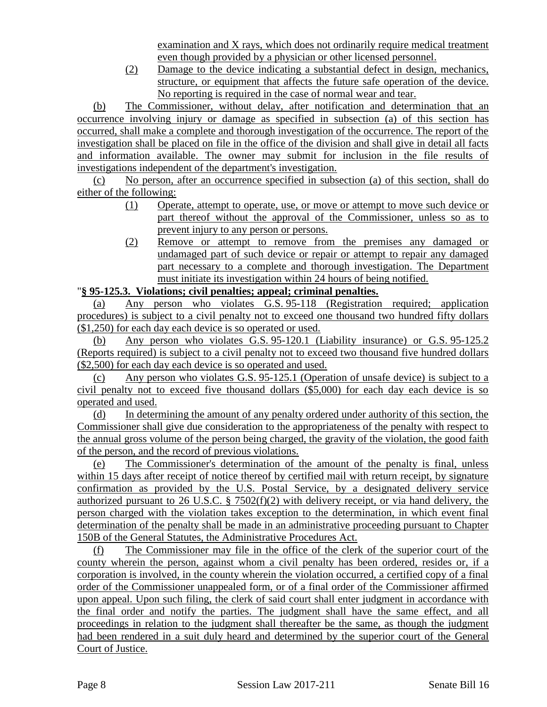examination and X rays, which does not ordinarily require medical treatment even though provided by a physician or other licensed personnel.

(2) Damage to the device indicating a substantial defect in design, mechanics, structure, or equipment that affects the future safe operation of the device. No reporting is required in the case of normal wear and tear.

(b) The Commissioner, without delay, after notification and determination that an occurrence involving injury or damage as specified in subsection (a) of this section has occurred, shall make a complete and thorough investigation of the occurrence. The report of the investigation shall be placed on file in the office of the division and shall give in detail all facts and information available. The owner may submit for inclusion in the file results of investigations independent of the department's investigation.

(c) No person, after an occurrence specified in subsection (a) of this section, shall do either of the following:

- (1) Operate, attempt to operate, use, or move or attempt to move such device or part thereof without the approval of the Commissioner, unless so as to prevent injury to any person or persons.
- (2) Remove or attempt to remove from the premises any damaged or undamaged part of such device or repair or attempt to repair any damaged part necessary to a complete and thorough investigation. The Department must initiate its investigation within 24 hours of being notified.

# "**§ 95-125.3. Violations; civil penalties; appeal; criminal penalties.**

(a) Any person who violates G.S. 95-118 (Registration required; application procedures) is subject to a civil penalty not to exceed one thousand two hundred fifty dollars (\$1,250) for each day each device is so operated or used.

(b) Any person who violates G.S. 95-120.1 (Liability insurance) or G.S. 95-125.2 (Reports required) is subject to a civil penalty not to exceed two thousand five hundred dollars (\$2,500) for each day each device is so operated and used.

(c) Any person who violates G.S. 95-125.1 (Operation of unsafe device) is subject to a civil penalty not to exceed five thousand dollars (\$5,000) for each day each device is so operated and used.

(d) In determining the amount of any penalty ordered under authority of this section, the Commissioner shall give due consideration to the appropriateness of the penalty with respect to the annual gross volume of the person being charged, the gravity of the violation, the good faith of the person, and the record of previous violations.

(e) The Commissioner's determination of the amount of the penalty is final, unless within 15 days after receipt of notice thereof by certified mail with return receipt, by signature confirmation as provided by the U.S. Postal Service, by a designated delivery service authorized pursuant to 26 U.S.C. § 7502(f)(2) with delivery receipt, or via hand delivery, the person charged with the violation takes exception to the determination, in which event final determination of the penalty shall be made in an administrative proceeding pursuant to Chapter 150B of the General Statutes, the Administrative Procedures Act.

(f) The Commissioner may file in the office of the clerk of the superior court of the county wherein the person, against whom a civil penalty has been ordered, resides or, if a corporation is involved, in the county wherein the violation occurred, a certified copy of a final order of the Commissioner unappealed form, or of a final order of the Commissioner affirmed upon appeal. Upon such filing, the clerk of said court shall enter judgment in accordance with the final order and notify the parties. The judgment shall have the same effect, and all proceedings in relation to the judgment shall thereafter be the same, as though the judgment had been rendered in a suit duly heard and determined by the superior court of the General Court of Justice.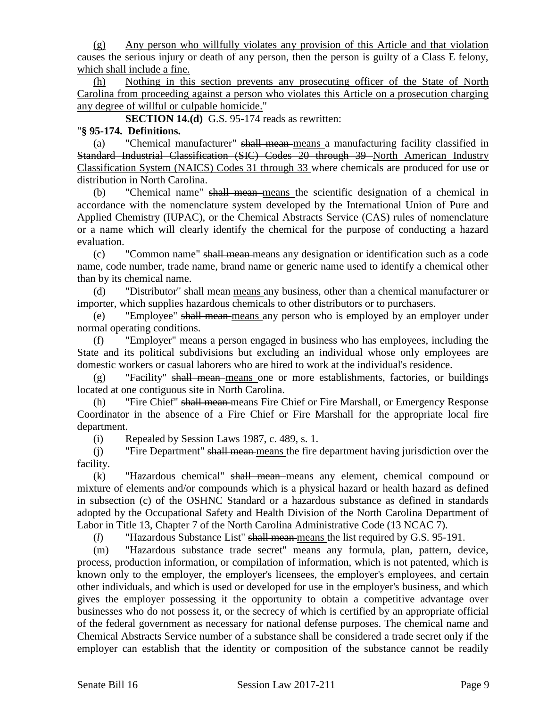(g) Any person who willfully violates any provision of this Article and that violation causes the serious injury or death of any person, then the person is guilty of a Class E felony, which shall include a fine.

(h) Nothing in this section prevents any prosecuting officer of the State of North Carolina from proceeding against a person who violates this Article on a prosecution charging any degree of willful or culpable homicide."

**SECTION 14.(d)** G.S. 95-174 reads as rewritten:

### "**§ 95-174. Definitions.**

(a) "Chemical manufacturer" shall mean means a manufacturing facility classified in Standard Industrial Classification (SIC) Codes 20 through 39 North American Industry Classification System (NAICS) Codes 31 through 33 where chemicals are produced for use or distribution in North Carolina.

(b) "Chemical name" shall mean means the scientific designation of a chemical in accordance with the nomenclature system developed by the International Union of Pure and Applied Chemistry (IUPAC), or the Chemical Abstracts Service (CAS) rules of nomenclature or a name which will clearly identify the chemical for the purpose of conducting a hazard evaluation.

(c) "Common name" shall mean means any designation or identification such as a code name, code number, trade name, brand name or generic name used to identify a chemical other than by its chemical name.

(d) "Distributor" shall mean means any business, other than a chemical manufacturer or importer, which supplies hazardous chemicals to other distributors or to purchasers.

(e) "Employee" shall mean means any person who is employed by an employer under normal operating conditions.

(f) "Employer" means a person engaged in business who has employees, including the State and its political subdivisions but excluding an individual whose only employees are domestic workers or casual laborers who are hired to work at the individual's residence.

(g) "Facility" shall mean means one or more establishments, factories, or buildings located at one contiguous site in North Carolina.

(h) "Fire Chief" shall mean means Fire Chief or Fire Marshall, or Emergency Response Coordinator in the absence of a Fire Chief or Fire Marshall for the appropriate local fire department.

(i) Repealed by Session Laws 1987, c. 489, s. 1.

(j) "Fire Department" shall mean means the fire department having jurisdiction over the facility.

(k) "Hazardous chemical" shall mean means any element, chemical compound or mixture of elements and/or compounds which is a physical hazard or health hazard as defined in subsection (c) of the OSHNC Standard or a hazardous substance as defined in standards adopted by the Occupational Safety and Health Division of the North Carolina Department of Labor in Title 13, Chapter 7 of the North Carolina Administrative Code (13 NCAC 7).

(*l*) "Hazardous Substance List" shall mean means the list required by G.S. 95-191.

(m) "Hazardous substance trade secret" means any formula, plan, pattern, device, process, production information, or compilation of information, which is not patented, which is known only to the employer, the employer's licensees, the employer's employees, and certain other individuals, and which is used or developed for use in the employer's business, and which gives the employer possessing it the opportunity to obtain a competitive advantage over businesses who do not possess it, or the secrecy of which is certified by an appropriate official of the federal government as necessary for national defense purposes. The chemical name and Chemical Abstracts Service number of a substance shall be considered a trade secret only if the employer can establish that the identity or composition of the substance cannot be readily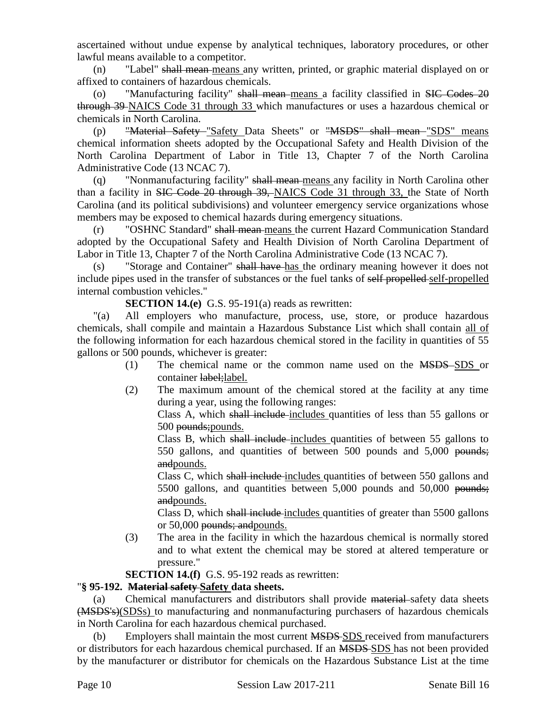ascertained without undue expense by analytical techniques, laboratory procedures, or other lawful means available to a competitor.

(n) "Label" shall mean means any written, printed, or graphic material displayed on or affixed to containers of hazardous chemicals.

(o) "Manufacturing facility" shall mean means a facility classified in SIC Codes 20 through 39 NAICS Code 31 through 33 which manufactures or uses a hazardous chemical or chemicals in North Carolina.

(p) "Material Safety "Safety Data Sheets" or "MSDS" shall mean "SDS" means chemical information sheets adopted by the Occupational Safety and Health Division of the North Carolina Department of Labor in Title 13, Chapter 7 of the North Carolina Administrative Code (13 NCAC 7).

(q) "Nonmanufacturing facility" shall mean means any facility in North Carolina other than a facility in SIC Code 20 through 39, NAICS Code 31 through 33, the State of North Carolina (and its political subdivisions) and volunteer emergency service organizations whose members may be exposed to chemical hazards during emergency situations.

(r) "OSHNC Standard" shall mean means the current Hazard Communication Standard adopted by the Occupational Safety and Health Division of North Carolina Department of Labor in Title 13, Chapter 7 of the North Carolina Administrative Code (13 NCAC 7).

(s) "Storage and Container" shall have has the ordinary meaning however it does not include pipes used in the transfer of substances or the fuel tanks of self-propelled self-propelled internal combustion vehicles."

**SECTION 14.(e)** G.S. 95-191(a) reads as rewritten:

"(a) All employers who manufacture, process, use, store, or produce hazardous chemicals, shall compile and maintain a Hazardous Substance List which shall contain all of the following information for each hazardous chemical stored in the facility in quantities of 55 gallons or 500 pounds, whichever is greater:

- (1) The chemical name or the common name used on the MSDS SDS or container label; label.
- (2) The maximum amount of the chemical stored at the facility at any time during a year, using the following ranges:

Class A, which shall include includes quantities of less than 55 gallons or 500 pounds;pounds.

Class B, which shall include includes quantities of between 55 gallons to 550 gallons, and quantities of between 500 pounds and 5,000 pounds; andpounds.

Class C, which shall include includes quantities of between 550 gallons and 5500 gallons, and quantities between 5,000 pounds and 50,000 pounds; and pounds.

Class D, which shall include includes quantities of greater than 5500 gallons or 50,000 pounds; andpounds.

(3) The area in the facility in which the hazardous chemical is normally stored and to what extent the chemical may be stored at altered temperature or pressure."

**SECTION 14.(f)** G.S. 95-192 reads as rewritten:

## "**§ 95-192. Material safety Safety data sheets.**

(a) Chemical manufacturers and distributors shall provide material safety data sheets (MSDS's)(SDSs) to manufacturing and nonmanufacturing purchasers of hazardous chemicals in North Carolina for each hazardous chemical purchased.

(b) Employers shall maintain the most current MSDS SDS received from manufacturers or distributors for each hazardous chemical purchased. If an MSDS SDS has not been provided by the manufacturer or distributor for chemicals on the Hazardous Substance List at the time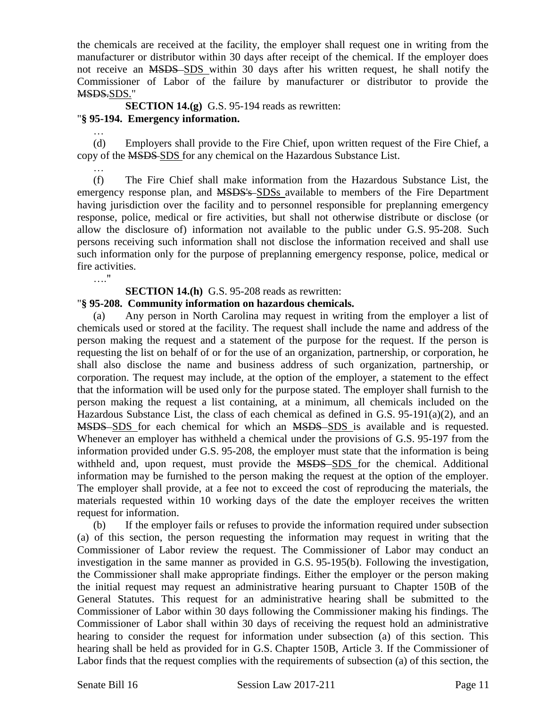the chemicals are received at the facility, the employer shall request one in writing from the manufacturer or distributor within 30 days after receipt of the chemical. If the employer does not receive an MSDS SDS within 30 days after his written request, he shall notify the Commissioner of Labor of the failure by manufacturer or distributor to provide the MSDS.SDS."

**SECTION 14.(g)** G.S. 95-194 reads as rewritten: "**§ 95-194. Emergency information.**

(d) Employers shall provide to the Fire Chief, upon written request of the Fire Chief, a copy of the MSDS SDS for any chemical on the Hazardous Substance List.

… (f) The Fire Chief shall make information from the Hazardous Substance List, the emergency response plan, and MSDS's SDSs available to members of the Fire Department having jurisdiction over the facility and to personnel responsible for preplanning emergency response, police, medical or fire activities, but shall not otherwise distribute or disclose (or allow the disclosure of) information not available to the public under G.S. 95-208. Such persons receiving such information shall not disclose the information received and shall use such information only for the purpose of preplanning emergency response, police, medical or fire activities.

…."

…

**SECTION 14.(h)** G.S. 95-208 reads as rewritten:

#### "**§ 95-208. Community information on hazardous chemicals.**

(a) Any person in North Carolina may request in writing from the employer a list of chemicals used or stored at the facility. The request shall include the name and address of the person making the request and a statement of the purpose for the request. If the person is requesting the list on behalf of or for the use of an organization, partnership, or corporation, he shall also disclose the name and business address of such organization, partnership, or corporation. The request may include, at the option of the employer, a statement to the effect that the information will be used only for the purpose stated. The employer shall furnish to the person making the request a list containing, at a minimum, all chemicals included on the Hazardous Substance List, the class of each chemical as defined in G.S. 95-191(a)(2), and an MSDS SDS for each chemical for which an MSDS SDS is available and is requested. Whenever an employer has withheld a chemical under the provisions of G.S. 95-197 from the information provided under G.S. 95-208, the employer must state that the information is being withheld and, upon request, must provide the MSDS SDS for the chemical. Additional information may be furnished to the person making the request at the option of the employer. The employer shall provide, at a fee not to exceed the cost of reproducing the materials, the materials requested within 10 working days of the date the employer receives the written request for information.

(b) If the employer fails or refuses to provide the information required under subsection (a) of this section, the person requesting the information may request in writing that the Commissioner of Labor review the request. The Commissioner of Labor may conduct an investigation in the same manner as provided in G.S. 95-195(b). Following the investigation, the Commissioner shall make appropriate findings. Either the employer or the person making the initial request may request an administrative hearing pursuant to Chapter 150B of the General Statutes. This request for an administrative hearing shall be submitted to the Commissioner of Labor within 30 days following the Commissioner making his findings. The Commissioner of Labor shall within 30 days of receiving the request hold an administrative hearing to consider the request for information under subsection (a) of this section. This hearing shall be held as provided for in G.S. Chapter 150B, Article 3. If the Commissioner of Labor finds that the request complies with the requirements of subsection (a) of this section, the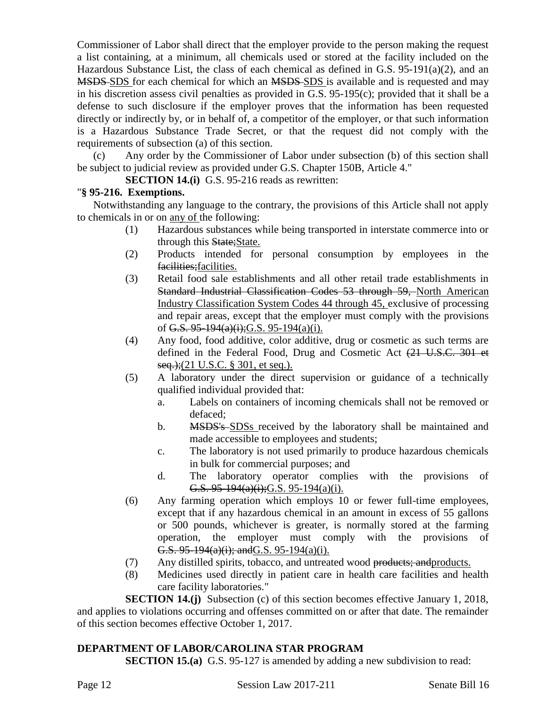Commissioner of Labor shall direct that the employer provide to the person making the request a list containing, at a minimum, all chemicals used or stored at the facility included on the Hazardous Substance List, the class of each chemical as defined in G.S. 95-191(a)(2), and an MSDS SDS for each chemical for which an MSDS SDS is available and is requested and may in his discretion assess civil penalties as provided in G.S. 95-195(c); provided that it shall be a defense to such disclosure if the employer proves that the information has been requested directly or indirectly by, or in behalf of, a competitor of the employer, or that such information is a Hazardous Substance Trade Secret, or that the request did not comply with the requirements of subsection (a) of this section.

(c) Any order by the Commissioner of Labor under subsection (b) of this section shall be subject to judicial review as provided under G.S. Chapter 150B, Article 4."

**SECTION 14.(i)** G.S. 95-216 reads as rewritten:

### "**§ 95-216. Exemptions.**

Notwithstanding any language to the contrary, the provisions of this Article shall not apply to chemicals in or on any of the following:

- (1) Hazardous substances while being transported in interstate commerce into or through this State; State.
- (2) Products intended for personal consumption by employees in the facilities;facilities.
- (3) Retail food sale establishments and all other retail trade establishments in Standard Industrial Classification Codes 53 through 59, North American Industry Classification System Codes 44 through 45, exclusive of processing and repair areas, except that the employer must comply with the provisions of G.S.  $95-194(a)(i)$ ; G.S. 95-194(a)(i).
- (4) Any food, food additive, color additive, drug or cosmetic as such terms are defined in the Federal Food, Drug and Cosmetic Act (21 U.S.C. 301 et seq.);(21 U.S.C. § 301, et seq.).
- (5) A laboratory under the direct supervision or guidance of a technically qualified individual provided that:
	- a. Labels on containers of incoming chemicals shall not be removed or defaced;
	- b. MSDS's SDSs received by the laboratory shall be maintained and made accessible to employees and students;
	- c. The laboratory is not used primarily to produce hazardous chemicals in bulk for commercial purposes; and
	- d. The laboratory operator complies with the provisions of G.S.  $95-194(a)(i)$ ; G.S.  $95-194(a)(i)$ .
- (6) Any farming operation which employs 10 or fewer full-time employees, except that if any hazardous chemical in an amount in excess of 55 gallons or 500 pounds, whichever is greater, is normally stored at the farming operation, the employer must comply with the provisions of G.S.  $95-194(a)(i)$ ; and G.S.  $95-194(a)(i)$ .
- (7) Any distilled spirits, tobacco, and untreated wood products; and products.
- (8) Medicines used directly in patient care in health care facilities and health care facility laboratories."

**SECTION 14.(j)** Subsection (c) of this section becomes effective January 1, 2018, and applies to violations occurring and offenses committed on or after that date. The remainder of this section becomes effective October 1, 2017.

## **DEPARTMENT OF LABOR/CAROLINA STAR PROGRAM**

**SECTION 15.(a)** G.S. 95-127 is amended by adding a new subdivision to read: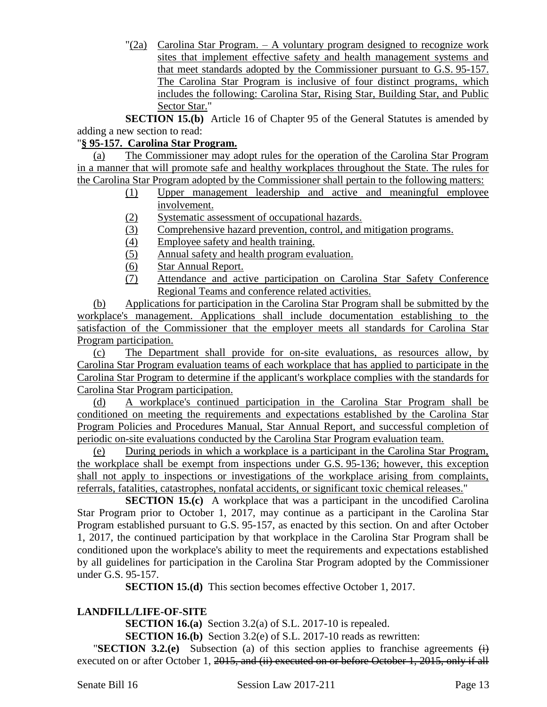$\Gamma(2a)$  Carolina Star Program. – A voluntary program designed to recognize work sites that implement effective safety and health management systems and that meet standards adopted by the Commissioner pursuant to G.S. 95-157. The Carolina Star Program is inclusive of four distinct programs, which includes the following: Carolina Star, Rising Star, Building Star, and Public Sector Star."

**SECTION 15.(b)** Article 16 of Chapter 95 of the General Statutes is amended by adding a new section to read:

## "**§ 95-157. Carolina Star Program.**

(a) The Commissioner may adopt rules for the operation of the Carolina Star Program in a manner that will promote safe and healthy workplaces throughout the State. The rules for the Carolina Star Program adopted by the Commissioner shall pertain to the following matters:

- (1) Upper management leadership and active and meaningful employee involvement.
- (2) Systematic assessment of occupational hazards.
- (3) Comprehensive hazard prevention, control, and mitigation programs.
- (4) Employee safety and health training.
- (5) Annual safety and health program evaluation.
- (6) Star Annual Report.
- (7) Attendance and active participation on Carolina Star Safety Conference Regional Teams and conference related activities.

(b) Applications for participation in the Carolina Star Program shall be submitted by the workplace's management. Applications shall include documentation establishing to the satisfaction of the Commissioner that the employer meets all standards for Carolina Star Program participation.

(c) The Department shall provide for on-site evaluations, as resources allow, by Carolina Star Program evaluation teams of each workplace that has applied to participate in the Carolina Star Program to determine if the applicant's workplace complies with the standards for Carolina Star Program participation.

(d) A workplace's continued participation in the Carolina Star Program shall be conditioned on meeting the requirements and expectations established by the Carolina Star Program Policies and Procedures Manual, Star Annual Report, and successful completion of periodic on-site evaluations conducted by the Carolina Star Program evaluation team.

(e) During periods in which a workplace is a participant in the Carolina Star Program, the workplace shall be exempt from inspections under G.S. 95-136; however, this exception shall not apply to inspections or investigations of the workplace arising from complaints, referrals, fatalities, catastrophes, nonfatal accidents, or significant toxic chemical releases."

**SECTION 15.(c)** A workplace that was a participant in the uncodified Carolina Star Program prior to October 1, 2017, may continue as a participant in the Carolina Star Program established pursuant to G.S. 95-157, as enacted by this section. On and after October 1, 2017, the continued participation by that workplace in the Carolina Star Program shall be conditioned upon the workplace's ability to meet the requirements and expectations established by all guidelines for participation in the Carolina Star Program adopted by the Commissioner under G.S. 95-157.

**SECTION 15.(d)** This section becomes effective October 1, 2017.

## **LANDFILL/LIFE-OF-SITE**

**SECTION 16.(a)** Section 3.2(a) of S.L. 2017-10 is repealed.

**SECTION 16.(b)** Section 3.2(e) of S.L. 2017-10 reads as rewritten:

"**SECTION 3.2.(e)** Subsection (a) of this section applies to franchise agreements (i) executed on or after October 1, 2015, and (ii) executed on or before October 1, 2015, only if all

Senate Bill 16 Session Law 2017-211 Page 13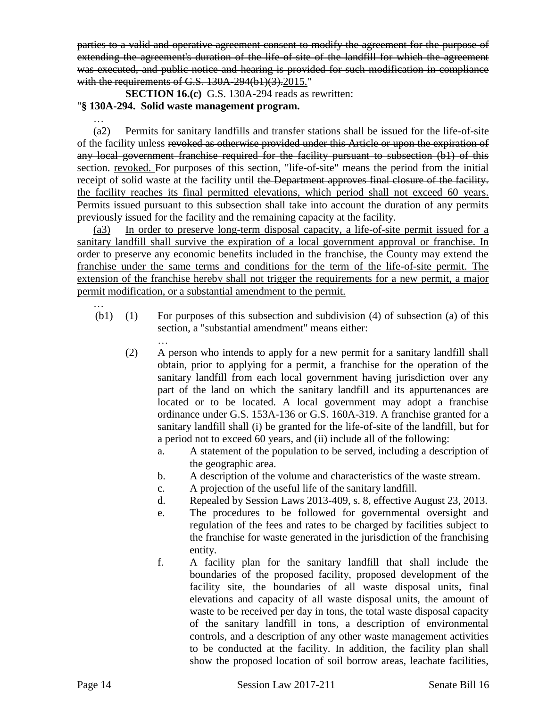parties to a valid and operative agreement consent to modify the agreement for the purpose of extending the agreement's duration of the life-of-site of the landfill for which the agreement was executed, and public notice and hearing is provided for such modification in compliance with the requirements of G.S. 130A-294(b1)(3).2015."

**SECTION 16.(c)** G.S. 130A-294 reads as rewritten:

### "**§ 130A-294. Solid waste management program.**

…

(a2) Permits for sanitary landfills and transfer stations shall be issued for the life-of-site of the facility unless revoked as otherwise provided under this Article or upon the expiration of any local government franchise required for the facility pursuant to subsection (b1) of this section. revoked. For purposes of this section, "life-of-site" means the period from the initial receipt of solid waste at the facility until the Department approves final closure of the facility. the facility reaches its final permitted elevations, which period shall not exceed 60 years. Permits issued pursuant to this subsection shall take into account the duration of any permits previously issued for the facility and the remaining capacity at the facility.

(a3) In order to preserve long-term disposal capacity, a life-of-site permit issued for a sanitary landfill shall survive the expiration of a local government approval or franchise. In order to preserve any economic benefits included in the franchise, the County may extend the franchise under the same terms and conditions for the term of the life-of-site permit. The extension of the franchise hereby shall not trigger the requirements for a new permit, a major permit modification, or a substantial amendment to the permit.

- (b1) (1) For purposes of this subsection and subdivision (4) of subsection (a) of this section, a "substantial amendment" means either:
	- … (2) A person who intends to apply for a new permit for a sanitary landfill shall obtain, prior to applying for a permit, a franchise for the operation of the sanitary landfill from each local government having jurisdiction over any part of the land on which the sanitary landfill and its appurtenances are located or to be located. A local government may adopt a franchise ordinance under G.S. 153A-136 or G.S. 160A-319. A franchise granted for a sanitary landfill shall (i) be granted for the life-of-site of the landfill, but for a period not to exceed 60 years, and (ii) include all of the following:
		- a. A statement of the population to be served, including a description of the geographic area.
		- b. A description of the volume and characteristics of the waste stream.
		- c. A projection of the useful life of the sanitary landfill.
		- d. Repealed by Session Laws 2013-409, s. 8, effective August 23, 2013.
		- e. The procedures to be followed for governmental oversight and regulation of the fees and rates to be charged by facilities subject to the franchise for waste generated in the jurisdiction of the franchising entity.
		- f. A facility plan for the sanitary landfill that shall include the boundaries of the proposed facility, proposed development of the facility site, the boundaries of all waste disposal units, final elevations and capacity of all waste disposal units, the amount of waste to be received per day in tons, the total waste disposal capacity of the sanitary landfill in tons, a description of environmental controls, and a description of any other waste management activities to be conducted at the facility. In addition, the facility plan shall show the proposed location of soil borrow areas, leachate facilities,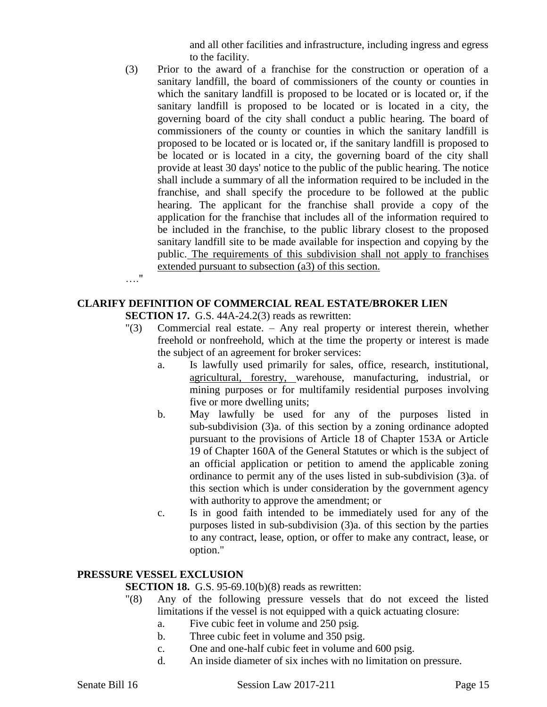and all other facilities and infrastructure, including ingress and egress to the facility.

(3) Prior to the award of a franchise for the construction or operation of a sanitary landfill, the board of commissioners of the county or counties in which the sanitary landfill is proposed to be located or is located or, if the sanitary landfill is proposed to be located or is located in a city, the governing board of the city shall conduct a public hearing. The board of commissioners of the county or counties in which the sanitary landfill is proposed to be located or is located or, if the sanitary landfill is proposed to be located or is located in a city, the governing board of the city shall provide at least 30 days' notice to the public of the public hearing. The notice shall include a summary of all the information required to be included in the franchise, and shall specify the procedure to be followed at the public hearing. The applicant for the franchise shall provide a copy of the application for the franchise that includes all of the information required to be included in the franchise, to the public library closest to the proposed sanitary landfill site to be made available for inspection and copying by the public. The requirements of this subdivision shall not apply to franchises extended pursuant to subsection (a3) of this section.

…."

## **CLARIFY DEFINITION OF COMMERCIAL REAL ESTATE/BROKER LIEN**

**SECTION 17.** G.S. 44A-24.2(3) reads as rewritten:

- "(3) Commercial real estate. Any real property or interest therein, whether freehold or nonfreehold, which at the time the property or interest is made the subject of an agreement for broker services:
	- a. Is lawfully used primarily for sales, office, research, institutional, agricultural, forestry, warehouse, manufacturing, industrial, or mining purposes or for multifamily residential purposes involving five or more dwelling units;
	- b. May lawfully be used for any of the purposes listed in sub-subdivision (3)a. of this section by a zoning ordinance adopted pursuant to the provisions of Article 18 of Chapter 153A or Article 19 of Chapter 160A of the General Statutes or which is the subject of an official application or petition to amend the applicable zoning ordinance to permit any of the uses listed in sub-subdivision (3)a. of this section which is under consideration by the government agency with authority to approve the amendment; or
	- c. Is in good faith intended to be immediately used for any of the purposes listed in sub-subdivision (3)a. of this section by the parties to any contract, lease, option, or offer to make any contract, lease, or option."

#### **PRESSURE VESSEL EXCLUSION**

**SECTION 18.** G.S. 95-69.10(b)(8) reads as rewritten:

- "(8) Any of the following pressure vessels that do not exceed the listed limitations if the vessel is not equipped with a quick actuating closure:
	- a. Five cubic feet in volume and 250 psig.
	- b. Three cubic feet in volume and 350 psig.
	- c. One and one-half cubic feet in volume and 600 psig.
	- d. An inside diameter of six inches with no limitation on pressure.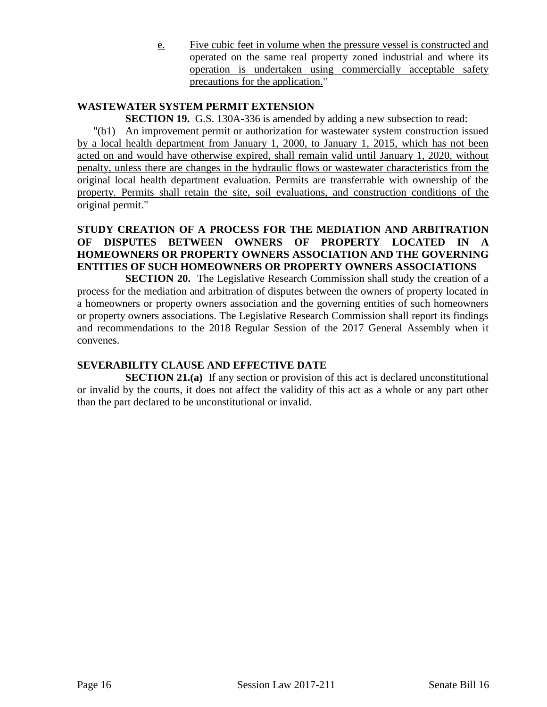e. Five cubic feet in volume when the pressure vessel is constructed and operated on the same real property zoned industrial and where its operation is undertaken using commercially acceptable safety precautions for the application."

## **WASTEWATER SYSTEM PERMIT EXTENSION**

**SECTION 19.** G.S. 130A-336 is amended by adding a new subsection to read:

"(b1) An improvement permit or authorization for wastewater system construction issued by a local health department from January 1, 2000, to January 1, 2015, which has not been acted on and would have otherwise expired, shall remain valid until January 1, 2020, without penalty, unless there are changes in the hydraulic flows or wastewater characteristics from the original local health department evaluation. Permits are transferrable with ownership of the property. Permits shall retain the site, soil evaluations, and construction conditions of the original permit."

## **STUDY CREATION OF A PROCESS FOR THE MEDIATION AND ARBITRATION OF DISPUTES BETWEEN OWNERS OF PROPERTY LOCATED IN A HOMEOWNERS OR PROPERTY OWNERS ASSOCIATION AND THE GOVERNING ENTITIES OF SUCH HOMEOWNERS OR PROPERTY OWNERS ASSOCIATIONS**

**SECTION 20.** The Legislative Research Commission shall study the creation of a process for the mediation and arbitration of disputes between the owners of property located in a homeowners or property owners association and the governing entities of such homeowners or property owners associations. The Legislative Research Commission shall report its findings and recommendations to the 2018 Regular Session of the 2017 General Assembly when it convenes.

## **SEVERABILITY CLAUSE AND EFFECTIVE DATE**

**SECTION 21.(a)** If any section or provision of this act is declared unconstitutional or invalid by the courts, it does not affect the validity of this act as a whole or any part other than the part declared to be unconstitutional or invalid.